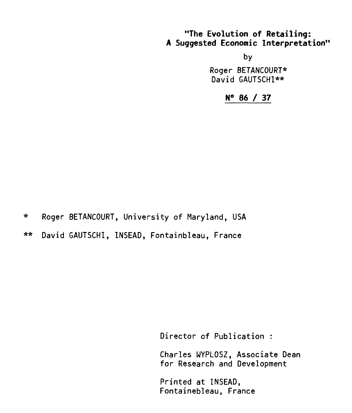# **"The Evolution of Retailing: A Suggested Economic Interpretation"**

by

Roger BETANCOURT\* David GAUTSCHI\*\*

**N° 86 / 37** 

\* Roger BETANCOURT, University of Maryland, USA

\*\* David GAUTSCHI, INSEAD, Fontainbleau, France

Director of Publication :

Charles WYPLOSZ, Associate Dean for Research and Development

Printed at INSEAD, Fontainebleau, France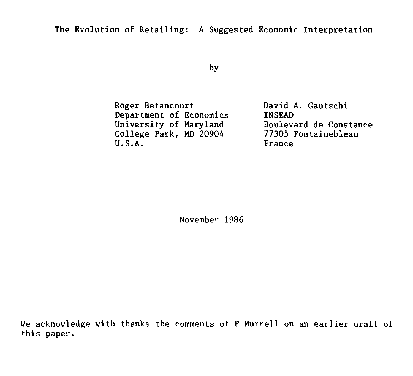by

Roger Betancourt Department of Economics University of Maryland College Park, MD 20904 U.S.A.

David A. Gautschi **TNSEAD** Boulevard de Constance 77305 Fontainebleau France

November 1986

We acknowledge with thanks the comments of P Murrell on an earlier draft of this paper.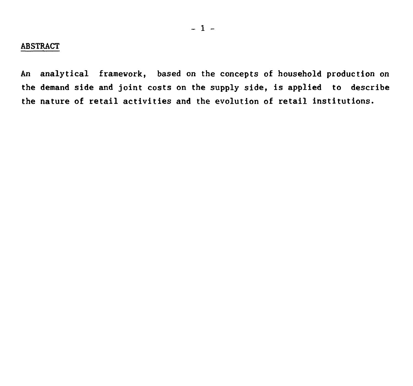## **ABSTRACT**

**An analytical framework, based on the concepts of household production on the demand side and joint costs on the supply side, is applied to describe the nature of retail activities and the evolution of retail institutions.**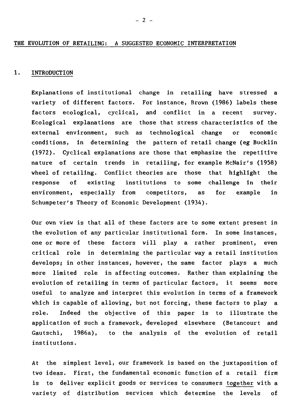#### THE EVOLUTION OF RETAILING: A SUGGESTED ECONOMIC INTERPRETATION

#### 1. INTRODUCTION

Explanations of institutional change in retailing have stressed a variety of different factors. For instance, Brown (1986) labels these factors ecological, cyclical, and conflict in a recent survey. Ecological explanations are those that stress characteristics of the external environment, such as technological change or economic conditions, in determining the pattern of retail change (eg Bucklin (1972). Cyclical explanations are those that emphasize the repetitive nature of certain trends in retailing, for example McNair's (1958) wheel of retailing. Conflict theories are those that highlight the response of existing institutions to some challenge in their environment, especially from competitors, as for example in Schumpeter's Theory of Economic Development (1934).

Our own view is that all of these factors are to some extent present in the evolution of any particular institutional form. In some instances, one or more of these factors will play a rather prominent, even critical role in determining the particular way a retail institution develops; in other instances, however, the same factor plays a much more limited role in affecting outcomes. Rather than explaining the evolution of retailing in terms of particular factors, it seems more useful to analyze and interpret this evolution **in** terms of a framework which is capable of allowing, but not forcing, these factors to play a role. Indeed the objective of this paper is to illustrate the application of such a framework, developed elsewhere (Betancourt and Gautschi, 1986a), to the analysis of the evolution of retail institutions.

At the simplest level, our framework is based on the juxtaposition of two ideas. First, the fundamental economic function of a retail firm is to deliver explicit goods or services to consumers together with a variety of distribution services which determine the levels of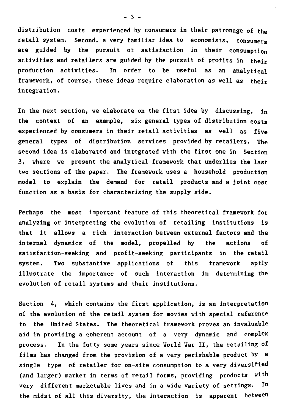**distribution costs experienced by consumers in their patronage of the retail system. Second, a very familiar idea to economists, consumers are guided by the pursuit of satisfaction in their consumption activities and retailers are guided by the pursuit of profits in their production activities. In order to be useful as an analytical framework, of course, these ideas require elaboration as well as their integration.** 

**In the next section, we elaborate on the first idea by discussing, in the context of an example, six general types of distribution costs experienced by consumers in their retail activities as well as five general types of distribution services provided by retailers. The second idea is elaborated and integrated with the first one in Section 3, where we present the analytical framework that underlies the last two sections of the paper. The framework uses a household production model to explain the demand for retail products and a joint cost**  function as a basis for characterising the supply side.

**Perhaps the most important feature of this theoretical framework for analyzing or interpreting the evolution of retailing institutions is that it allows a rich interaction between external factors and the internai dynamics of the model, propelled by the actions of satisfaction-seeking and profit-seeking participants in the retail system. Two substantive applications of this framework aptly illustrate the importance of such interaction in determining the evolution of retail systems and their institutions.** 

**Section 4, which contains the first application, is an interpretation of the evolution of the retail system for movies with special reference to the United States. The theoretical framework proves an invaluable aid in providing a coherent account of a very dynamic and complex process. In the forty some years since World War II, the retailing of films has changed from the provision of a very perishable product by a single type of retailer for on-site consumption to a very diversified (and larger) market in terms of retail forms, providing products with very different marketable lives and in a wide variety of settings. In the midst of all this diversity, the interaction is apparent between** 

- 3 **-**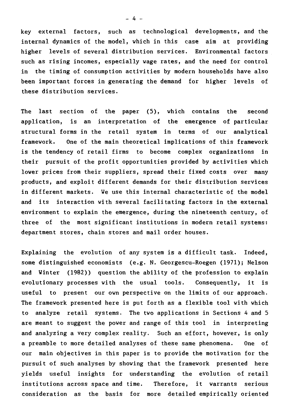key external factors, such as technological developments, and the internai dynamics of the model, which in this case aim at providing higher levels of several distribution services. Environmental factors such as rising incomes, especially wage rates, and the need for control in the timing of consumption activities by modern households have also been important forces in generating the demand for higher levels of these distribution services.

The last section of the paper (5), which contains the second application, is an interpretation of the emergence of particular structural forms in the retail system in terms of our analytical framework. One of the main theoretical implications of this framework is the tendency of retail firms to become complex organizations in their pursuit of the profit opportunities provided by activities which lower prices from their suppliers, spread their fixed costs over many products, and exploit different demands for their distribution services in different markets. We use this internai characteristic of the model and its interaction with several facilitating factors in the external environment to explain the emergence, during the nineteenth century, of three of the most significant institutions in modern retail systems: department stores, chain stores and mail order houses.

Explaining the evolution of any system is a difficult task. Indeed, some distinguished economists (e.g. N. Georgescu-Roegen (1971); Nelson and Winter (1982)) question the ability of the profession to explain evolutionary processes with the usual tools. Consequently, it is useful to present our own perspective on the limits of our approach. The framework presented here is put forth as a flexible tool with which to analyze retail systems. The two applications in Sections 4 and 5 are meant to suggest the power and range of this tool in interpreting and analyzing a very complex reality. Such an effort, however, is only a preamble to more detailed analyses of these same phenomena. One of our main objectives in this paper is to provide the motivation for the pursuit of such analyses by showing that the framework presented here yields useful insights for understanding the evolution of retail institutions across space and time. Therefore, it warrants serious consideration as the basis for more detailed empirically oriented

- 4 -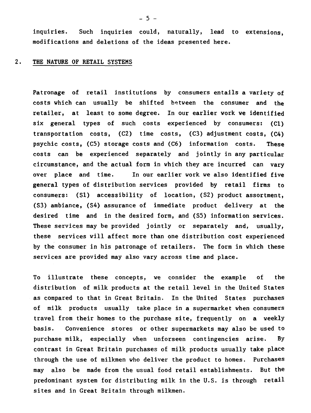**inquiries. Such inquiries could, naturally, lead to extensions, modifications and deletions of the ideas presented here.** 

### **2. THE NATURE OF RETAIL SYSTEMS**

**Patronage of retail institutions by consumers entails a variety of**  costs which can usually be shifted between the consumer and the **retailer, at least to some degree. In our earlier work we identified six general types of such costs experienced by consumers: (Cl) transportation costs, (C2) time costs, (C3) adjustment costs, (C4) psychic costs, (C5) storage costs and (C6) information costs. These costs can be experienced separately and jointly in any particular circumstance, and the actual form in which they are incurred can vary over place and time. In our earlier work we also identified five general types of distribution services provided by retail firms to consumers: (S1) accessibility of location, (S2) product assortment, (S3) ambiance, (S4) assurance of immédiate product delivery at the desired time and in the desired form, and (S5) information services. These services may be provided jointly or separately and, usually, these services will affect more than one distribution cost experienced by the consumer in his patronage of retailers. The form in which these services are provided may also vary across time and place.** 

**To illustrate these concepts, we consider the example of the distribution of milk products at the retail level in the United States as compared to that in Great Britain. In the United States purchases of milk products usually take place in a supermarket when consumers travel from their homes to the purchase site, frequently on a weekly basis. Convenience stores or other supermarkets may also be used to purchase milk, especially when unforseen contingencies arise. By contrast in Great Britain purchases of milk products usually take place through the use of milkmen who deliver the product to homes. Purchases may also be made from the usual food retail establishments. But the predominant system for distributing milk in the U.S. is through retail sites and in Great Britain through milkmen.** 

- 5 **-**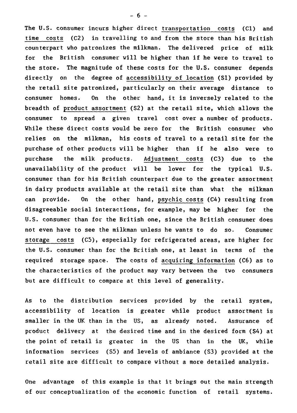The U.S. consumer incurs higher direct transportation costs (C1) and time costs (C2) in travelling to and from the store than his British counterpart who patronizes the milkman. The delivered price of milk for the British consumer will be higher than if he were to travel to the store. The magnitude of these costs for the U.S. consumer depends directly on the degree of accessibility of location (S1) provided by the retail site patronized, particularly on their average distance to consumer homes. On the other hand, it is inversely related to the breadth of product assortment (S2) at the retail site, which allows the consumer to spread a given travel cost over a number of products. While these direct costs would be zero for the British consumer who relies on the milkman, his costs of travel to a retail site for the purchase of other products will be higher than if he also were to purchase the milk products. Adjustment costs (C3) due to the unavailability of the product will be lover for the typical U.S. consumer than for his British counterpart due to the greater assortment in dairy products available at the retail site than what the milkman can provide. On the other hand, psychic costs (C4) resulting from disagreeable social interactions, for example, may be higher for the U.S. consumer than for the British one, since the British consumer does not even have to see the milkman unless he wants to do so. Consumer storage costs (C5), especially for refrigerated areas, are higher for the U.S. consumer than for the British one, at least in terms of the required storage space. The costs of acquiring information (C6) as to the characteristics of the product may vary between the two consumers but are difficult to compare at this level of generality.

As to the distribution services provided by the retail system, accessibility of location is greater while product assortment is smaller in the UK than in the US, as already noted. Assurance of product delivery at the desired time and in the desired form (S4) at the point of retail is greater in the US than in the UK, while information services (S5) and levels of ambiance (S3) provided at the retail site are difficult to compare without a more detailed analysis.

One advantage of this example is that it brings out the main strength of our conceptualization of the economic function of retail systems.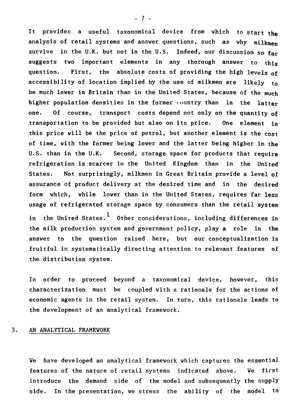It provides a useful taxonomical device from which to start the analysis of retail systems and answer questions, such as why milkmen survive in the U.K. but not in the U.S. Indeed, our discussion so far suggests two important elements in any thorough answer to this question. First, the absolute costs of providing the high levels of accessibility of location implied by the use of milkmen are likely to be much lover in Britain than in the United States, because of the much higher population densities in the former country than in the latter one. Of course, transport costs depend not only on the quantity of transportation to be provided but also on its price. One element in this price will be the price of petrol, but another element is the cost of time, with the former being lover and the latter being higher in the U.S. than in the U.K. Second, storage space for products that require refrigeration is scarcer in the United Kingdom than in the United States. Not surprisingly, milkmen in Great Britain provide a level of assurance of product delivery at the desired time and in the desired form which, while lover than in the United States, requires far less usage of refrigerated storage space by consumers than the retail system in the United States.<sup>1</sup> Other considerations, including differences in the milk production system and government policy, play a role in the answer to the question raised here, but our conceptualization is fruitful in systematically directing attention to relevant features of the distribution system.

In order to proceed beyond a taxonomical device, however, this characterization must be coupled with a rationale for the actions of economic agents in the retail system. In turn, this rationale leads to the development of an analytical framework.

# 3. AN ANALYTICAL FRAMEWORK

We have developed an analytical framework which captures the essential features of the nature of retail systems indicated above. We first introduce the demand side of the model and subsequently the supply side. In the presentation, we stress the ability of the model to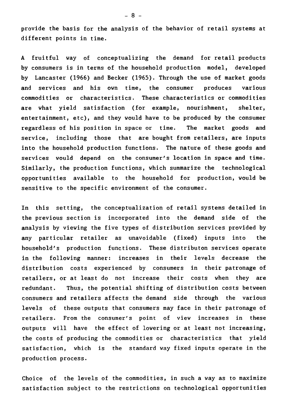provide the basis for the analysis of the behavior of retail systems at different points in time.

A fruitful way of conceptualizing the demand for retail products by consumers is in terms of the household production model, developed by Lancaster (1966) and Becker (1965). Through the use of market goods and services and his own time, the consumer produces various commodities or characteristics. These characteristics or commodities are what yield satisfaction (for example, nourishment, shelter, entertainment, etc), and they would have to be produced by the consumer regardless of his position in space or time. The market goods and service, including those that are bought from retailers, are inputs into the household production functions. The nature of these goods and services would depend on the consumer's location in space and time. Similarly, the production functions, which summarize the technological opportunities available to the household for production, would be sensitive to the specific environment of the consumer.

In this setting, the conceptualization of retail systems detailed in the previous section is incorporated into the demand side of the analysis by viewing the five types of distribution services provided by any particular retailer as unavoidable (fixed) inputs into the household's production functions. These distributon services operate in the following manner: increases in their levels decrease the distribution costs experienced by consumers in their patronage of retailers, or at least do not increase their costs when they are redundant. Thus, the potential shifting of distribution costs between consumers and retailers affects the demand side through the various levels of these outputs that consumers may face in their patronage of retailers. From the consumer's point of view increases in these outputs will have the effect of lowering or at least not increasing, the costs of producing the commodities or characteristics that yield satisfaction, which is the standard way fixed inputs operate in the production process.

Choice of the levels of the commodities, in such a way as to maximize satisfaction subject to the restrictions on technological opportunities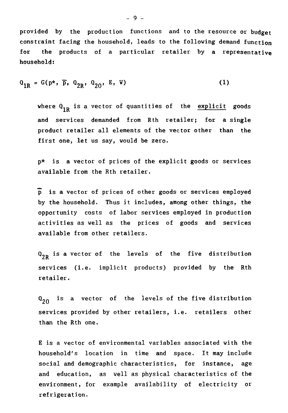provided by the production functions and to the resource or budget constraint facing the household, leads to the following demand function for the products of a particular retailer by a representative household:

$$
Q_{1R} = G(p*, \overline{p}, Q_{2R}, Q_{20}, E, W)
$$
 (1)

where  $Q_{1R}$  is a vector of quantities of the explicit goods and services demanded from Rth retailer; for a single product retailer ail elements of the vector other than the first one, let us say, would be zero.

p\* is a vector of prices of the explicit goods or services available from the Rth retailer.

p is a vector of prices of other goods or services employed by the household. Thus it includes, among other things, the opportunity costs of labor services employed in production activities as well as the prices of goods and services available from other retailers.

 $Q_{2R}$  is a vector of the levels of the five distribution services (i.e. implicit products) provided by the Rth retailer.

 $Q_{20}$ is a vector of the levels of the five distribution services provided by other retailers, i.e. retailers other than the Rth one.

E is a vector of environmental variables associated with the household's location in time and space. It may include social and demographic characteristics, for instance, age and education, as well as physical characteristics of the environment, for example availability of electricity or refrigeration.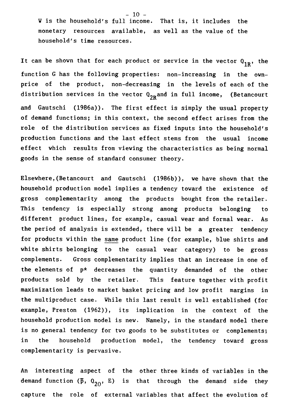W is the household's full income. That is, it includes the monetary resources available, as well as the value of the household's time resources.

It can be shown that for each product or service in the vector  $Q_{1R}$ , the function G has the following properties: non-increasing in the ownprice of the product, non-decreasing in the levels of each of the distribution services in the vector  $0^{\,}_{2R}$ and in full income, (Betancourt and Gautschi (1986a)). The first effect is simply the usual property of demand functions; in this context, the second effect arises from the role of the distribution services as fixed inputs into the household's production functions and the last effect stems from the usual income effect which results from viewing the characteristics as being normal goods in the sense of standard consumer theory.

Elsewhere,(Betancourt and Gautschi (1986b)), we have shown that the household production model implies a tendency toward the existence of gross complementarity among the products bought from the retailer. This tendency is especially strong among products belonging to different product lines, for example, casual wear and formal wear. As the period of analysis is extended, there will be a greater tendency for products within the same product line (for example, blue shirts and white shirts belonging to the casual wear category) to be gross complements. Gross complementarity implies that an increase in one of the elements of p\* decreases the quantity demanded of the other products sold by the retailer. This feature together with profit maximization leads to market basket pricing and low profit margins in the multiproduct case. While this last result is well established (for example, Preston (1962)), its implication in the context of the household production model is new. Namely, in the standard model there is no general tendency for two goods to be substitutes or complements; in the household production model, the tendency toward gross complementarity is pervasive.

An interesting aspect of the other three kinds of variables in the demand function ( $\bar{p}$ ,  $Q_{20}$ , E) is that through the demand side they capture the role of external variables that affect the evolution of

 $-10 -$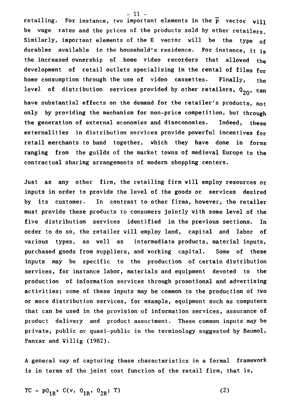retailing. For instance, two important elements in the  $\bar{p}$  vector will be wage rates and the prices of the products sold by other retailers. Similarly, important elements of the E vector will be the type of durables available in the household's residence. For instance, it is the increased ownership of home video recorders that allowed the development of retail outlets specialising in the rental of films for home consumption through the use of video cassettes. Finally, the level of distribution services provided by other retailers,  $Q_{20}$ , can have substantial effects on the demand for the retailer's products, not only by providing the mechanism for non-price competition, but through the generation of external economies and diseconomies. Indeed, these externalities in distribution services provide powerful incentives for retail merchants to band together, which they have done in forms ranging from the guilds of the market towns of medieval Europe to the contractual sharing arrangements of modern shopping centers.

Just as any other firm, the retailing firm will employ resources or inputs in order to provide the level of the goods or services desired by its customer. In contrast to other firms, however, the retailer must provide these products to consumers jointly with some level of the five distribution services identified in the previous sections. In order to do so, the retailer will employ land, capital and labor of various types, as well as intermediate products, material inputs, purchased goods from suppliers, and working capital. Some of these inputs may be specific to the production of certain distribution services, for instance labor, materials and equipment devoted to the production of information services through promotional and advertising activities; some of these inputs may be common to the production of two or more distribution services, for example, equipment such as computers that can be used in the provision of information services, assurance of product delivery and product assortment. These common inputs may be private, public or quasi-public in the terminology suggested by Baumol, Panzar and Willig (1982).

A general way of capturing these characteristics in a formal framework is in terms of the joint cost function of the retail firm, that is,

TC =  $p0_{1R}$ + C(v,  $0_{1R}$ ,  $0_{2R}$ ; T) (2)

- 11 -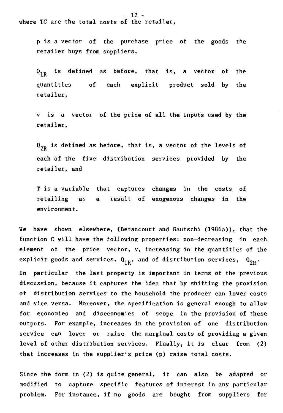p is a vector of the purchase price of the goods the retailer buys from suppliers,

 $Q_{1\,p}$ is defined as before, that is, a vector of the quantities of each explicit product sold by the retailer,

y is a vector of the price of ail the inputs used by the retailer,

 $0_{2R}$  is defined as before, that is, a vector of the levels of each of the five distribution services provided by the retailer, and

T is a variable that captures changes in the costs of retailing as a result of exogenous changes in the environment.

We have shown elsewhere, (Betancourt and Gautschi (1986a)), that the function C will have the following properties: non-decreasing in each element of the price vector, y, increasing in the quantities of the explicit goods and services,  $Q_{1R}$ , and of distribution services,  $Q_{2R}$ .

In particular the last property is important in terms of the previous discussion, because it captures the idea that by shifting the provision of distribution services to the household the producer can lover costs and vice versa. Moreover, the specification is general enough to allow for economies and diseconomies of scope in the provision of these outputs. For example, increases in the provision of one distribution service can lover or raise the marginal costs of providing a given level of other distribution services. Finally, it is clear from (2) that increases in the supplier's price (p) raise total costs.

Since the form in (2) is quite general, it can also be adapted or modified to capture specific features of interest in any particular problem. For instance, if no goods are bought from suppliers for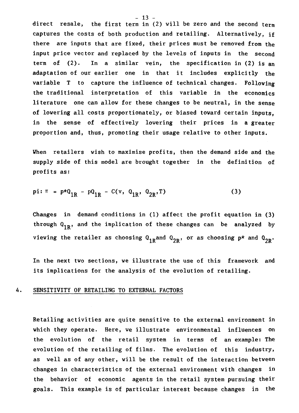direct resale, the first term in (2) will be zero and the second term captures the costs of both production and retailing. Alternatively, **if**  there are inputs that are fixed, their prices must be removed from the input price vector and replaced by the levels of inputs in the second term of (2). In a similar vein, the specification in (2) is an adaptation of our earlier one in that it includes explicitly the variable T to capture the influence of technical changes. Following the traditional interpretation of this variable in the economics literature one can allow for these changes to be neutral, in the sense of lowering all costs proportionately, or biased toward certain inputs, in the sense of effectively lowering their prices in a greater proportion and, thus, promoting their usage relative to other inputs.

When retailers wish to maximise profits, then the demand side and the supply side of this model are brought together in the definition of profits as:

$$
pi: \pi = p \star 0_{1R} - p0_{1R} - C(v, 0_{1R}, 0_{2R}, T)
$$
 (3)

Changes in demand conditions in (1) affect the profit equation in (3) through  $Q_{1R}$ , and the implication of these changes can be analyzed by viewing the retailer as choosing  $Q_{1R}$  and  $Q_{2R}$ , or as choosing p\* and  $Q_{2R}$ .

In the next two sections, we illustrate the use of this framework and its implications for the analysis of the evolution of retailing.

#### 4. SENSITIVITY OF RETAILING TO EXTERNAL FACTORS

Retailing activities are quite sensitive to the external environment in which they operate. Here, we illustrate environmental influences on the evolution of the retail system in terms of an example: The evolution of the retailing of films. The evolution of this industry, as well as of any other, will be the result of the interaction between changes in characteristics of the external environment with changes in the behavior of economic agents in the retail system pursuing their goals. This example is of particular interest because changes in the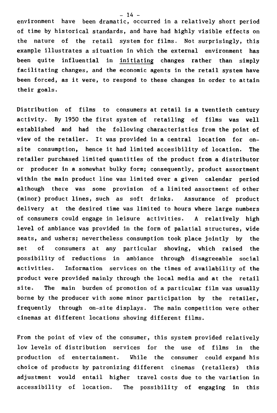environment have been dramatic, occurred in a relatively short period of time by historical standards, and have had highly visible effects on the nature of the retail system for films. Not surprisingly, this example illustrates a situation in which the external environment has been quite influential in initiating changes rather than simply facilitating changes, and the economic agents in the retail system have been forced, as it were, to respond to these changes in order to attain their goals.

Distribution of films to consumers at retail is a twentieth century activity. By 1950 the first system of retailing of films was well established and had the following characteristics from the point of view of the retailer. It was provided in a central location for onsite consumption, hence it had limited accesibility of location. The retailer purchased limited quantities of the product from a distributor or producer in a somewhat bulky form; consequently, product assortment within the main product line was limited over a given calendar period although there was some provision of a limited assortment of other (minor) product lines, such as soft drinks. Assurance of product delivery at the desired time was limited to hours where large numbers of consumers could engage in leisure activities. A relatively high level of ambiance was provided in the form of palatial structures, vide seats, and ushers; nevertheless consumption took place jointly by the set of consumers at any particular showing, which raised the possibility of reductions in ambiance through disagreeable social activities. Information services on the times of availability of the product were provided mainly through the local media and at the retail site. The main burden of promotion of a particular film was usually borne by the producer with some minor participation by the retailer, frequently through on-site displays. The main competition were other cinemas at different locations showing different films.

From the point of view of the consumer, this system provided relatively low levels of distribution services for the use of films in the production of entertainment. While the consumer could expand his choice of products by patronizing different cinemas (retailers) this adjustment would entail higher travel costs due to the variation in accessibility of location. The possibility of engaging in this

 $- 14 -$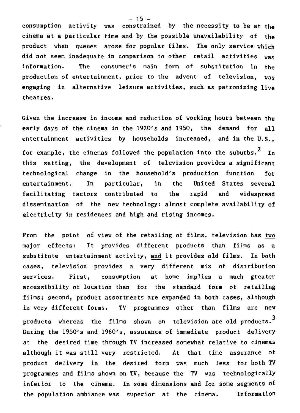consumption activity was constrained by the necessity to be at the cinema at a particular time and by the possible unavailability of the product when queues arose for popular films. The only service which did not seem inadequate in comparison to other retail activities was information. The consumer's main form of substitution in the production of entertainment, prior to the advent of television, was engaging in alternative leisure activities, such as patronizing live theatres.

Given the increase in income and reduction of working hours between the early days of the cinema in the 1920's and 1950, the demand for all entertainment activities by households increased, and in the U.S., for example, the cinemas followed the population into the suburbs.<sup>2</sup> In this setting, the development of television provides a significant technological change in the household's production function for entertainment. In particular, in the United States several facilitating factors contributed to the rapid and widespread dissemination of the new technology: almost complete availability of electricity in residences and high and rising incomes.

From the point of view of the retailing of films, television has two major effects: It provides different products than films as a substitute entertainment activity, and it provides old films. In both cases, television provides a very different mix of distribution services. First, consumption at home implies a much greater accessibility of location than for the standard form of retailing films; second, product assortments are expanded in both cases, although in very different forms. TV programmes other than films are new products whereas the films shown on television are old products.  $3$ During the 1950's and 1960's, assurance of immediate product delivery at the desired time through TV increased somewhat relative to cinemas although it was still very restricted. At that time assurance of product delivery in the desired form was much less for both TV programmes and films shown on TV, because the TV was technologically inferior to the cinema. In some dimensions and for some segments of the population ambiance was superior at the cinema. Information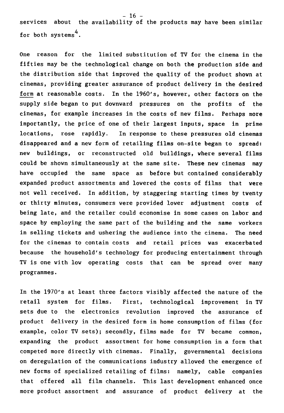services about the availability of the products may have been similar for both systems<sup>4</sup>.

One reason for the limited substitution of TV for the cinema in the fifties may be the technological change on both the production side and the distribution side that improved the quality of the product shown at cinemas, providing greater assurance of product delivery in the desired form at reasonable costs. In the 1960's, however, other factors on the supply side began to put downward pressures on the profits of the cinemas, for example increases in the costs of new films. Perhaps more importantly, the price of one of their largest inputs, space in prime locations, rose rapidly. In response to these pressures old cinemas disappeared and a new form of retailing films on-site began to spread: new buildings, or reconstructed old buildings, where several films could be shown simultaneously at the same site. These new cinemas may have occupied the same space as before but contained considerably expanded product assortments and lowered the costs of films that were not well received. In addition, by staggering starting times by twenty or thirty minutes, consumers were provided lover adjustment costs of being late, and the retailer could economise in some cases on labor and space by employing the same part of the building and the same workers in selling tickets and ushering the audience into the cinema. The need for the cinemas to contain costs and retail prices was exacerbated because the household's technology for producing entertainment through TV is one with low operating costs that can be spread over many programmes.

In the 1970's at least three factors visibly affected the nature of the retail system for films. First, technological improvement in TV sets due to the electronics revolution improved the assurance of product delivery in the desired form in home consumption of films (for example, color TV sets); secondly, films made for TV became common, expanding the product assortment for home consumption in a form that competed more directly with cinemas. Finally, governmental decisions on deregulation of the communications industry allowed the emergence of new forms of specialized retailing of films: namely, cable companies that offered all film channels. This last development enhanced once more product assortment and assurance of product delivery at the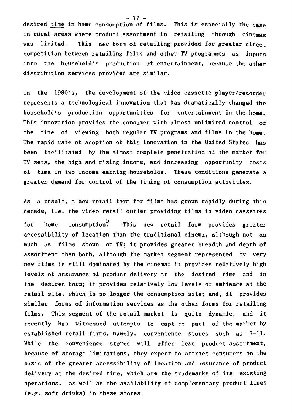desired time in home consumption of films. This is especially the case in rural areas where product assortment in retailing through cinemas was limited. This new form of retailing provided for greater direct competition between retailing films and other TV programmes as inputs into the household's production of entertainment, because the other distribution services provided are similar.

In the 1980's, the development of the video cassette player/recorder represents a technological innovation that has dramatically changed the household's production opportunities for entertainment in the home. This innovation provides the consumer with almost unlimited control of the time of viewing both regular TV programs and films in the home. The rapid rate of adoption of this innovation in the United States has been facilitated by the almost complete penetration of the market for TV sets, the high and rising income, and increasing opportunity costs of time in two income earning households. These conditions generate a greater demand for control of the timing of consumption activities.

As a result, a new retail form for films has grown rapidly during this decade, i.e. the video retail outlet providing films in video cassettes for home consumption. This new retail form provides greater accessibility of location than the traditional cinema, although not as much as films shown on TV; it provides greater breadth and depth of assortment than both, although the market segment represented by very new films is still dominated by the cinema; it provides relatively high levels of assurance of product delivery at the desired time and in the desired form; it provides relatively low levels of ambiance at the retail site, which is no longer the consumption site; and, it provides similar forms of information services as the other forms for retailing films. This segment of the retail market is quite dynamic, and it recently has witnessed attempts to capture part of the market by established retail firms, namely, convenience stores such as 7-11. While the convenience stores will offer less product assortment, because of storage limitations, they expect to attract consumers on the basis of the greater accessibility of location and assurance of product delivery at the desired time, which are the trademarks of its existing operations, as well as the availability of complementary product lines (e.g. soft drinks) in these stores.

- 17 -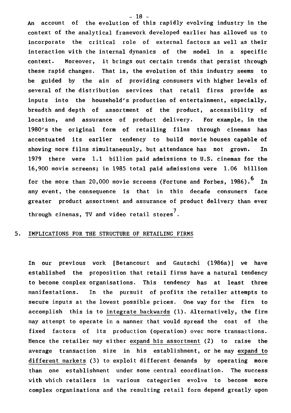An account of the evolution of this rapidly evolving industry in the context of the analytical framework developed earlier has allowed us to incorporate the critical role of external factors as well as their interaction with the internal dynamics of the model in a specific context. Moreover, it brings out certain trends that persist through these rapid changes. That is, the evolution of this industry seems to be guided by the aim of providing consumers with higher levels of several of the distribution services that retail firms provide as inputs into the household's production of entertainment, especially, breadth and depth of assortment of the product, accessibility of location, and assurance of product delivery. For example, in the 1980's the original form of retailing films through cinemas has accentuated its earlier tendency to build movie houses capable of showing more films simultaneously, but attendance has not grown. In 1979 there were 1.1 billion paid admissions to U.S. cinemas for the 16,900 movie screens; in 1985 total paid admissions were 1.06 billion for the more than 20,000 movie screens (Fortune and Forbes, 1986).<sup>6</sup> In any event, the consequence is that in this decade consumers face greater product assortment and assurance of product delivery than ever through cinemas, TV and video retail stores<sup>7</sup>.

# 5. IMPLICATIONS FOR THE STRUCTURE OF RETAILING FIRMS

In our previous work [Betancourt and Gautschi (1986a)] we have established the proposition that retail firms have a natural tendency to become complex organisations. This tendency has at least three manifestations. In the pursuit of profits the retailer attempts to secure inputs at the lowest possible prices. One way for the firm to accomplish this is to integrate backwards (1). Alternatively, the firm may attempt to operate in a manner that wouid spread the cost of the fixed factors of its production (operation) over more transactions. Hence the retailer may either expand his assortment (2) to raise the average transaction size in his establishment, or he may expand to different markets (3) to exploit different demands by operating more than one establishment under some central coordination. The success with which retailers in various categories evolve to become more complex organisations and the resulting retail form depend greatly upon

 $- 18 -$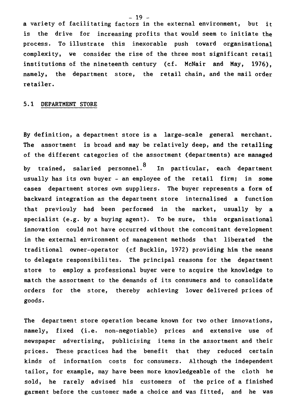a variety of facilitating factors in the external environment, but it is the drive for increasing profits that would seem to initiate the process. To illustrate this inexorable push toward organisational complexity, we consider the rise of the three most significant retail institutions of the nineteenth century (cf. McNair and May, 1976), namely, the department store, the retail Chain, and the mail order retailer.

## 5.1 DEPARTMENT STORE

By definition, a department store is a large-scale general merchant. The assortment is broad and may be relatively deep, and the retailing of the différent categories of the assortment (departments) are managed by trained, salaried personnel.<sup>8</sup> In particular, each department usually has its own buyer - an employee of the retail firm; in some cases department stores own suppliers. The buyer represents a form of backward integration as the department store internalised a function that previouly had been performed in the market, usually by a specialist (e.g. by a buying agent). To be sure, this organisational innovation could not have occurred without the concomitant development in the external environment of management methods that liberated the traditional owner-operator (cf Bucklin, 1972) providing him the means to delegate responsibilites. The principal reasons for the department store to employ a professional buyer were to acquire the knowledge to match the assortment to the demands of its consumers and to consolidate orders for the store, thereby achieving lover delivered prices of goods.

The department store operation became known for two other innovations, namely, fixed (i.e. non-negotiable) prices and extensive use of newspaper advertising, publicising items in the assortment and their prices. These practices had the benefit that they reduced certain kinds of information costs for consumers. Although the independent tailor, for example, may have been more knowledgeable of the cloth he sold, he rarely advised his customers of the price of a finished garment before the customer made a choice and was fitted, and he was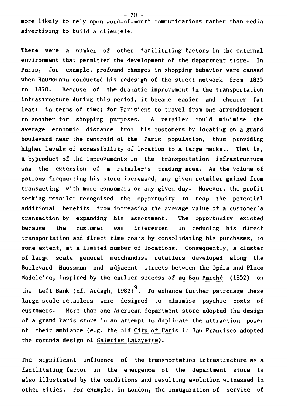$- 20$ more likely to rely upon word-of-mouth communications rather than media advertising to build a clientele.

There were a number of other facilitating factors in the external environment that permitted the development of the department store. In Paris, for example, profound changes in shopping behavior were caused when Haussmann conducted his redesign of the street network from 1835 to 1870. Because of the dramatic improvement in the transportation infrastructure during this period, it became easier and cheaper (at least in terms of time) for Parisiens to travel from one arrondisement to another for shopping purposes. A retailer could minimise the average economic distance from his customers by locating on a grand boulevard near the centroid of the Paris population, thus providing higher levels of accessibility of location to a large market. That is, a byproduct of the improvements in the transportation infrastructure was the extension of a retailer's trading area. As the volume of patrons frequenting his store increased, any given retailer gained from transacting with more consumers on any given day. However, the profit seeking retailer recognised the opportunity to reap the potential additjonal benefits from increasing the average value of a customer's transaction by expanding his assortment. The opportunity existed because the customer was interested in reducing his direct transportation and direct time costs by consolidating his purchases, to some extent, at a limited number of locations. Consequently, a cluster of large scale general merchandise retailers developed along the Boulevard Haussman and adjacent streets between the Opéra and Place Madeleine, inspired by the earlier success of au Bon Marché (1852) on the Left Bank (cf. Ardagh, 1982) $^{9}$ . To enhance further patronage these large scale retailers were designed to minimise psychic costs of customers. More than one American department store adopted the design of a grand Paris store in an attempt to duplicate the attraction power of their ambiance (e.g. the old City of Paris in San Francisco adopted the rotunda design of Galeries Lafayette).

The significant influence of the transportation infrastructure as a facilitating factor in the emergence of the department store is also illustrated by the conditions and resulting evolution witnessed in other cities. For example, in London, the inauguration of service of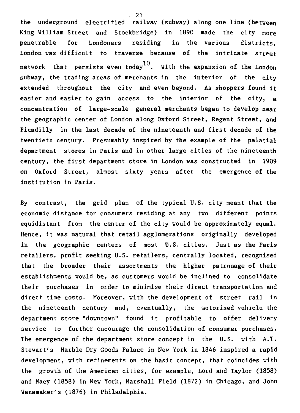**the underground electrified railway (subway) along one line (between King William Street and Stockbridge) in 1890 made the city more penetrable for Londoners residing in the various districts. London was difficult to traverse because of the intricate street network that persists even today10. With the expansion of the London subway, the trading areas of merchants in the interior of the city**  extended throughout the city and even beyond. As shoppers found it **easier and easier to gain access to the interior of the city, a concentration of large-scale general merchants began to develop near the geographic center of London along Oxford Street, Regent Street, and Picadilly in the last decade of the nineteenth and first decade of the twentieth century. Presumably inspired by the example of the palatial department stores in Paris and in other large cities of the nineteenth century, the first department store in London was constructed in 1909 on Oxford Street, almost sixty years after the emergence of the institution in Paris.** 

**By contrast, the grid plan of the typical U.S. city meant that the economic distance for consumera residing at any two different points equidistant from the center of the city would be approximately equal. Hence, it was natural that retail agglomerations originally developed in the geographic centers of most U.S. cities. Just as the Paris retailers, profit seeking U.S. retailers, centrally located, recognised that the broader their assortments the higher patronage of their establishments would be, as customers would be inclined to consolidate their purchases in order to minimise their direct transportation and direct time costs. Moreover, with the development of street rail in the nineteenth century and, eventually, the motorised vehicle the department store "downtown" found it profitable to offer delivery service to further encourage the consolidation of consumer purchases. The emergence of the department store concept in the U.S. with A.T. Stewart's Marble Dry Goods Palace in New York in 1846 inspired a rapid development, with refinements on the basic concept, that coincides with the growth of the American cities, for example, Lord and Taylor (1858) and Macy (1858) in New York, Marshall Field (1872) in Chicago, and John Wanamaker's (1876) in Philadelphia.** 

**- 21 -**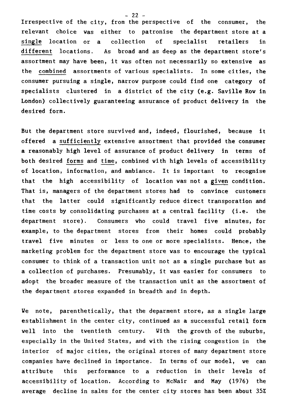Irrespective of the city, from the perspective of the consumer, the relevant choice was either to patronise the department store at a single location or a collection of specialist retailers in different locations. As broad and as deep as the department store's assortment may have been, it was often not necessarily so extensive as the combined assortments of various specialists. In some cities, the consumer pursuing a single, narrow purpose could find one category of specialists clustered in a district of the city (e.g. Saville Row in London) collectively guaranteeing assurance of product delivery in the desired form.

But the department store survived and, indeed, flourished, because it offered a sufficiently extensive assortment that provided the consumer a reasonably high level of assurance of product delivery in terms of both desired forms and time, combined with high levels of accessibility of location, information, and ambiance. It is important to recognise that the high accessibility of location was not a given condition. That is, managers of the department stores had to convince customers that the latter could significantly reduce direct transporation and time costs by consolidating purchases at a central facility (i.e. the department store). Consumers who could travel five minutes, for example, to the department stores from their homes could probably travel five minutes or less to one or more specialists. Hence, the marketing problem for the department store was to encourage the typical consumer to think of a transaction unit not as a single purchase but as a collection of purchases. Presumably, it was easier for consumers to adopt the broader measure of the transaction unit as the assortment of the department stores expanded in breadth and in depth.

We note, parenthetically, that the deparment store, as a single large establishment in the center city, continued as a successful retail form well into the twentieth century. With the growth of the suburbs, especially in the United States, and with the rising congestion in the interior of major cities, the original stores of many department store companies have declined in importance. In terms of our model, we can attribute this performance to a reduction in their levels of accessibility of location. According to McNair and May (1976) the average decline in sales for the center city stores has been about 35%

 $- 22 -$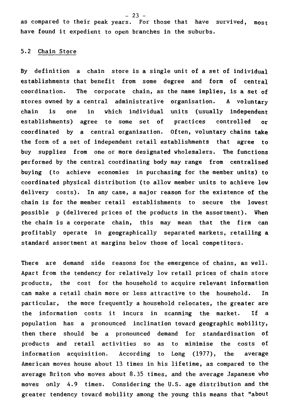as compared to their peak years. For those that have survived, most have found it expedient to open branches in the suburbs.

# 5.2 Chain Store

By definition a chain store is a single unit of a set of individual establishments that benefit from some degree and form of central coordination. The corporate chain, as the name implies, is a set of stores owned by a central administrative organisation. A voluntary chain is one in which individual units (usually independent establishments) agree to some set of practices controlled or coordinated by a central organisation. Often, voluntary chains take the form of a set of independent retail establishments that agree to buy supplies from one or more designated wholesalers. The functions performed by the central coordinating body may range from centralised buying (to achieve economies in purchasing for the member units) to coordinated physical distribution (to allow member units to achieve low delivery costs). In any case, a major reason for the existence of the chain is for the member retail establishments to secure the lowest possible p (delivered prices of the products in the assortment). When the chain is a corporate chain, this may mean that the firm can profitably operate in geographically separated markets, retailing a standard assortment at margins below those of local competitors.

There are demand side reasons for the emergence of chains, as well. Apart from the tendency for relatively low retail prices of chain store products, the cost for the household to acquire relevant information can make a retail chain more or less attractive to the household. In particular, the more frequently a household relocates, the greater are the information costs it incurs in scanning the market. If a population has a pronounced inclination toward geographic mobility, then there should be a pronounced demand for standardisation of products and retail activities so as to minimise the costs of information acquisition. According to Long (1977), the average American moves bouse about 13 times in bis lifetime, as compared to the average Briton who moves about 8.35 times, and the average Japanese who moves only 4.9 times. Considering the U.S. age distribution and the greater tendency toward mobility among the young this means that "about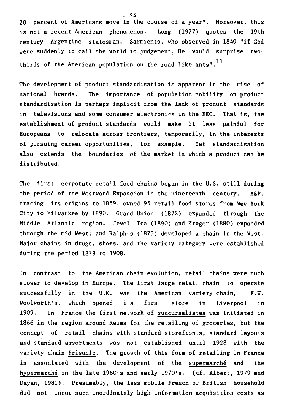20 percent of Americans move in the course of a year". Moreover, this is not a recent American phenomenon. Long (1977) quotes the 19th century Argentine statesman, Sarmiento, who observed in 1840 "if God were suddenly to call the world to judgement, He would surprise twothirds of the American population on the road like ants".<sup>11</sup>

The development of product standardisation is apparent in the rise of national brands. The importance of population mobility on product standardisation is perhaps implicit from the lack of product standards in televisions and some consumer electronics in the EEC. That is, the establishment of product standards would make it less painful for Europeans to relocate across frontiers, temporarily, in the interests of pursuing career opportunities, for example. Yet standardisation also extends the boundaries of the market in which a product can be distributed.

The first corporate retail food chains began in the U.S. still during the period of the Westward Expansion in the nineteenth century. A&P, tracing its origins to 1859, owned 95 retail food stores from New York City to Milwaukee by 1890. Grand Union (1872) expanded through the Middle Atlantic region; Jewel Tea (1890) and Kroger (1880) expanded through the mid-West; and Ralph's (1873) developed a chain in the West. Major chains in drugs, shoes, and the variety category were established during the period 1879 to 1908.

In contrast to the American chain evolution, retail chains were much slower to develop in Europe. The first large retail chain to operate successfully in the U.K. was the American variety chain, F.W. Woolworth's, which opened its first store in Liverpool in 1909. In France the first network of succursalistes was initiated in 1866 in the region around Reims for the retailing of groceries, but the concept of retail chains with standard storefronts, standard layouts and standard assortments was not established until 1928 with the variety chain Prisunic. The growth of this form of retailing in France is associated with the development of the supermarché and the hypermarché in the late 1960's and early 1970's. (cf. Albert, 1979 and Dayan, 1981). Presumably, the less mobile French or British household did not incur such inordinately high information acquisition costs as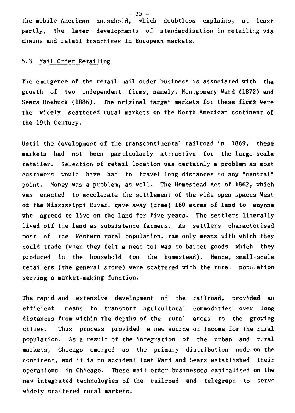$-25 -$ 

the mobile American household, which doubtless explains, at least partly, the later developments of standardisation in retailing via chains and retail franchises in European markets.

# 5.3 Mail Order Retailing

The emergence of the retail mail order business is associated with **the**  growth of two independent firms, namely, Montgomery Ward **(1872) and**  Sears Roebuck (1886). The original target markets for these firms were the widely scattered rural markets on the North American continent of the 19th Century.

Until the development of the transcontinental railroad in 1869, these markets had not been particularly attractive for the large-scale retailer. Selection of retail location was certainly a problem as most customers would have had to travel long distances to any "central" point. Money was a problem, as well. The Homestead Act of 1862, which was enacted to accelerate the settlement of the vide open spaces West of the Mississippi River, gave away (free) 160 acres of land to anyone who agreed to live on the land for five years. The settlers literally lived off the land as subsistence farmers. As settlers characterised most of the Western rural population, the only means with which they could trade (when they felt a need to) was to barter goods which they produced in the household (on the homestead). Hence, small-scale retailers (the general store) were scattered with the rural population serving a market-making function.

The rapid and extensive development of the railroad, provided an efficient means to transport agricultural commodities over long distances from within the depths of the rural areas to the growing cities. This process provided a new source of income for the rural population. As a result of the integration of the urban and rural markets, Chicago emerged as the primary distribution node on the continent, and it is no accident that Ward and Sears established their operations in Chicago. These mail order businesses capitalised on the new integrated technologies of the railroad and telegraph to serve widely scattered rural markets.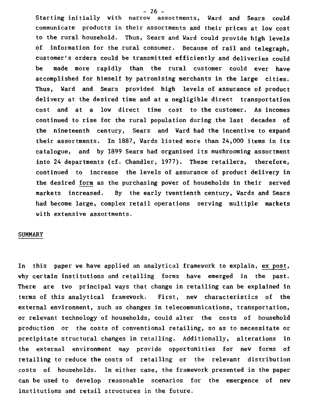- 26 -<br>Starting initially with narrow as assortments, Ward and Sears could communicate products in their assortments and their prices at low cost to the rural household. Thus, Sears and Ward could provide high levels of information for the rural consumer. Because of rail and telegraph, customer's orders could be transmitted efficiently and deliveries could be made more rapidly than the rural customer could ever have accomplished for himself by patronising merchants in the large cities. Thus, Ward and Sears provided high levels of assurance of product delivery at the desired time and at a negligible direct transportation cost and at a low direct time cost to the customer. As incomes continued to rise for the rural population during the last decades of the nineteenth century, Sears and Ward had the incentive to expand their assortments. In 1887, Wards listed more than 24,000 items in its catalogue, and by 1899 Sears had organised its mushrooming assortment into 24 departments (cf. Chandler, 1977). These retailers, therefore, continued to increase the levels of assurance of product delivery in the desired formas the purchasing power of households in their served markets increased. By the early twentienth century, Wards and Sears had become large, complex retail operations serving multiple markets with extensive assortments.

#### **SUMMARY**

In this paper we have applied an analytical framework to explain, ex post, why certain institutions and retailing forms have emerged in the past. There are two principal ways that change in retailing can be explained in terms of this analytical framework. First, new characteristics of the external environment, such as changes in telecommunications, transportation, or relevant technology of households, could alter the costs of household production or the costs of conventional retailing, so as to necessitate or precipitate structural changes in retailing. Additionally, alterations in the external environment may provide opportunities for new forms of retailing to reduce the costs of retailing or the relevant distribution costs of households. In either case, the framework presented in the paper can be used to develop reasonable scenarios for the emergence of new institutions and retail structures in the future.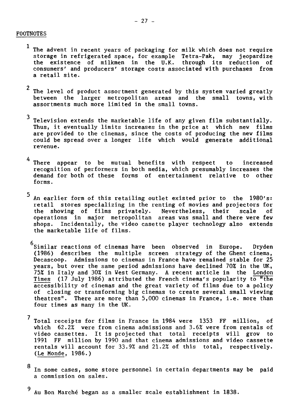# FOOTNOTES

- The advent in recent years of packaging for milk which does not require<br>storage in refrigerated space, for example Tetra-Pak. may jeopardize storage in refrigerated space, for example Tetra-Pak, may the existence of milkmen in the U.K. through its reduction of consumers' and producers' storage costs associated with purchases from a retail site.
- <sup>2</sup> The level of product assortment generated by this system varied greatly between the larger metropolitan areas and the small towns, with assortments much more limited in the small towns.
- 3 Television extends the marketable life of any given film substantially. Thus, it eventually limits increases in the price at which new films are provided to the cinemas, since the costs of producing the new films could be spread over a longer life which would generate additional revenue.
- 4 There appear to be mutual benefits with respect to increased recognition of performers in both media, which presumably increases the demand for both of these forms of entertainment relative to other forms.
- 5 An earlier form of this retailing outlet existed prior to the 1980's: retail stores specializing in the renting of movies and projectors for<br>the showing of films privately. Nevertheless, their scale of the showing of films privately. Nevertheless, their scale of operations in major metropolitan areas was small and there were few shops. Incidentally, the video casette player technology also extends the marketable life of films.
	- 6 Similar reactions of cinemas have been observed in Europe. Dryden (1986) describes the multiple screen strategy of the Ghent cinema, Decascoop. Admissions to cinemas in France have remained stable for 25 years, but over the same period admissions have declined 70% in the UK, 75% in Italy and 30% in West Germany. A recent article in the London Times (17 July 1986) attributed the French cinema's popularity to "the accessibility of cinemas and the great variety of films due to a policy of closing or transforming big cinemas to create several small viewing theatres". There are more than 5,000 cinemas in France, i.e. more than four times as many in the W.
- $^7$  Total receipts for films in France in 1984 were 1353 FF million, of which 62.2% were from cinema admissions and 3.6% were from rentals of video cassettes. It is projected that total receipts will grow to 1991 FF million by 1990 and that cinema admissions and video cassette rentals will account for 33.9% and 21.2% of this total, respectively. (Le Monde, 1986.)
- 8 In some cases, some store personnel in certain departments may be paid a commission on sales.
- 9 Au Bon Marché began as a smaller scale establishment in 1838.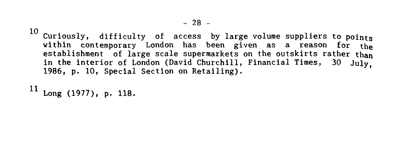10 Curiously, difficulty of access by large volume suppliers to points within contemporary London has been given as a reason for **the**  establishment of large scale supermarkets on the outskirts rather **than in** the interior of London (David Churchill, Financial Times, 30 July, 1986, p. 10, Special Section on Retailing).

11 Long (1977), p. 118.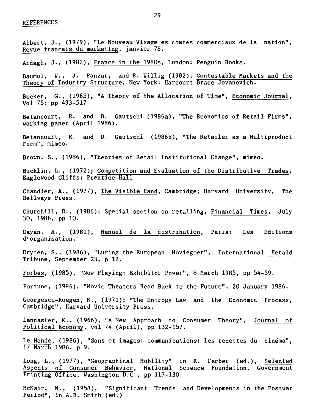Albert, J., (1979), "Le Nouveau Visage es comtes commerciaux de la nation", Revue francais du marketing, janvier 78. Ardagh, J., (1982), France in the 1980s, London: Penguin Books. Baumol, W., J. Panzar, and R. Willig (1982), Contestable Markets and the Theory of Industry Structure, New York: Harcourt Brace Jovanovich. Becker, G., (1965), "A Theory of the Allocation of Time", Economic Journal, Vol 75: pp 493-517

Betancourt, R. and D. Gautschi (1986a), "The Economics of Retail Firms", working paper (April 1986).

Betancourt, R. and D. Gautschi (1986b), "The Retailer as a Multiproduct Firm", mimeo.

Brown, S., (1986), "Theories of Retail Institutional Change", mimeo.

Bucklin, L., (1972); Competition and Evaluation of the Distributive Trades, Eaglewood Cliffs: Prentice-Hall

Chandler, A., (1977), The Visible Hand, Cambridge; Harvard University, The Bellways Press.

Churchill, D., (1986); Special section on retailing, Financial Times, July 30, 1986, pp 10.

Dayan, A., (1981), Manuel de la distribution, Paris: Les Editions d'organisation.

Dryden, S., (1986), "Luring the European Moviegoer", International Herald Tribune, September 23, p 12.

Forbes, (1985), "Now Playing: Exhibitor Power", 8 March 1985, pp 54-59.

Fortune, (1986), "Movie Theaters Head Back to the Future", 20 January 1986.

Georgescu-Roegen, N., (1971); "The Entropy Law and the Economic Process, Cambridge", Harvard University Press.

Lancaster, K., (1966), "A New Approach to Consumer Theory", Journal of Political Economy, vol 74 (April), pp 132-157.

Le Monde, (1986), "Sons et images: communications: les recettes du cinéma", 17 March 1986, p 9.

Long, L., (1977), "Geographical Mobility" in R. Ferber (ed.), Selected Aspects of Consumer Behavior, National Science Foundation, Government Printing Office, Washington D.C., pp 117-130.

McNair, M., (1958), "Significant Trends and Developments in the Postwar Period", in A.B. Smith (ed.)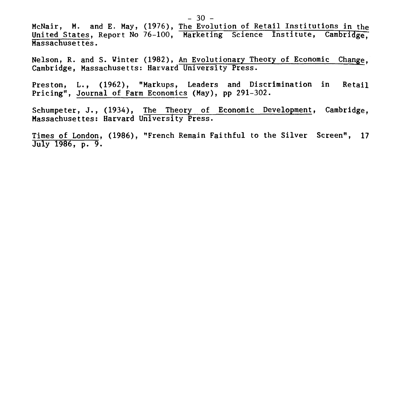McNair, M. and E. May, (1976), The Evolution of Retail Institutions in the United States, Report No 76-100, Marketing Science Institute, Cambridge, Massachusettes.

Nelson, R. and S. Winter (1982), An Evolutionary Theory of Economic Change, Cambridge, Massachusetts: Harvard University Press.

Preston, L., (1962), "Markups, Leaders and Discrimination in Retail Pricing", Journal of Farm Economics (May), pp 291-302.

Schumpeter, J., (1934), The Theory of Economic Development, Cambridge, Massachusettes: Harvard University Press.

Times of London, (1986), "French Remain Faithful to the Silver Screen", 17 July 1986, p. 9.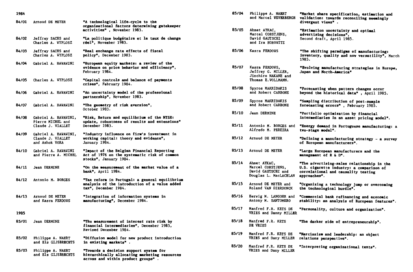| 84/01 | Arnoud DE MEYER                                                    | "A technological life-cycle to the<br>organisational factors determining gatekeeper                                           |       |                                                                                  |
|-------|--------------------------------------------------------------------|-------------------------------------------------------------------------------------------------------------------------------|-------|----------------------------------------------------------------------------------|
|       |                                                                    | activities", November 1983.                                                                                                   | 85/05 | Ahmet AYKAC.                                                                     |
| 84/02 | Jeffrey SACHS and<br>Charles A. WYPLOSZ                            | "La politique budgétaire et le taux de change<br>réel", November 1983.                                                        |       | Marcel CORSTJENS,<br>David GAUTSCHI<br>and Ira HOROVITZ                          |
| 84/03 | Jeffrey SACHS and<br>Charles A. WYPLOSZ                            | <b>"Real exchange rate effects of fiscal</b><br>policy", December 1983.                                                       | 85/06 | Kasra FERDOWS                                                                    |
| 84/04 | Gabriel A. HAWAWINI                                                | "European equity markets: a review of the<br>evidence on price behavior and efficiency",<br>February 1984.                    | 85/07 | Kasra FERDOWS,<br>Jeffrey G. MILLER.<br>Jinchiro NAKANE and                      |
| 84/05 | Charles A. WYPLOSZ                                                 | "Capital controls and balance of payments<br>crises", February 1984.                                                          |       | Thomas E.VOLLMANN.                                                               |
| 84/06 | Gabriel A. HAWAWINI                                                | "An uncertainty model of the professional<br>partnership", November 1983.                                                     | 85/08 | Spyros MAKRIDAKIS<br>and Robert CARBONE                                          |
| 84/07 | Gabriel A. HAWAWINI                                                | "The geometry of risk aversion",<br>October 1983.                                                                             | 85/09 | Spyros MAKRIDAKIS<br>and Robert CARBONE                                          |
| 84/08 | Gabriel A. HAVAVINI,                                               | <b>"Risk, Return and equilibrium of the NYSE:</b>                                                                             | 85/10 | Jean DERMINE                                                                     |
|       | Pierre MICHEL and<br>Claude J. VIALLET                             | update, robustness of results and extensions"<br>December 1983.                                                               | 85/11 | Antonio M. BORGES and<br>Alfredo M. PEREIRA                                      |
| 84/09 | <b>Gabriel A. HAVAVINI,</b><br>Claude J. VIALLET<br>and Ashok VORA | "Industry influence on firm's investment in<br>working capital: theory and evidence",<br>January 1984.                        | 85/12 | Arnoud DE MEYER                                                                  |
| 84/10 | Gabriel A. HAWAWINI<br>and Pierre A. MICHEL                        | "Impact of the Belgian Financial Reporting<br>Act of 1976 on the systematic risk of common<br>stocks", January 1984.          | 85/13 | Arnoud DE MEYER                                                                  |
| 84/11 | Jean DERMINE                                                       | "On the measurement of the market value of a<br><b>bank", April 1984.</b>                                                     | 85/14 | Ahmet AYKAC,<br>Marcel CORSTJENS.<br>David GAUTSCHI and<br>Douglas L. MacLACHLAN |
| 84/12 | Antonio M. BORGES                                                  | "Tax reform in Portugal: a general equilibrium<br>analysis of the introduction of a value added<br>tax", December 1984.       | 85/15 | Arnoud DE MEYER and<br>Roland VAN DIERDONCK                                      |
| 84/13 | Arnoud DE MEYER<br>and Kasra FERDOWS                               | "Integration of information systems in<br>manufacturing", December 1984.                                                      | 85/16 | Herwig M. LANGOHR and<br>Antony M. SANTOMERO                                     |
| 1985  |                                                                    |                                                                                                                               | 85/17 | Manfred F.R. KETS DE<br>VRIES and Danny MILLER                                   |
| 85/01 | <b>Jean DERMINE</b>                                                | "The measurement of interest rate risk by<br>financial intermediaries", December 1983,<br>Revised December 1984.              | 85/18 | Manfred F.R. KETS<br>DE VRIES                                                    |
| 85/02 | Philippe A. NAERT<br>and Els GIJSBRECHTS                           | "Diffusion model for new product introduction<br>in existing markets".                                                        | 85/19 | Manfred F.R. KETS DE<br>VRIES and Dany MILLER                                    |
| 85/03 | Philippe A. NAERT<br>and Els GIJSBRECHTS                           | "Towards a decision support system for<br>hierarchically allocating marketing resources<br>across and within product groups". | 85/20 | Manfred F.R. KETS DE<br>VRIES and Dany MILLER                                    |
|       |                                                                    |                                                                                                                               |       |                                                                                  |

| 1984  |                                             |                                                                                                                         | 85/04 | Philippe A. NAERT<br>and Marcel WEVERBERGH                                       | "Market share specification, estimation and<br>validation: towards reconciling seemingly                                                      |
|-------|---------------------------------------------|-------------------------------------------------------------------------------------------------------------------------|-------|----------------------------------------------------------------------------------|-----------------------------------------------------------------------------------------------------------------------------------------------|
| 84/01 | Arnoud DE MEYER                             | "A technological life-cycle to the<br>organisational factors determining gatekeeper<br>activities", November 1983.      | 85/05 | Ahmet AYKAC.                                                                     | divergent views" .<br>"Estimation uncertainty and optimal                                                                                     |
| 84/02 | Jeffrey SACHS and<br>Charles A. WYPLOSZ     | "La politique budgétaire et le taux de change<br>réel", November 1983.                                                  |       | Marcel CORSTJENS,<br>David GAUTSCHI<br>and Ira HOROWITZ                          | advertising decisions",<br>Second draft, April 1985.                                                                                          |
| 84/03 | Jeffrey SACHS and<br>Charles A. WYPLOSZ     | "Real exchange rate effects of fiscal<br>policy", December 1983.                                                        | 85/06 | Kasra FERDOWS                                                                    | "The shifting paradigms of manufacturing:<br>inventory, quality and now versatility", March<br>1985.                                          |
| 84/04 | Gabriel A. HAVAVINI                         | "European equity markets: a review of the<br>evidence on price behavior and efficiency",<br>February 1984.              | 85/07 | Kasra FERDOWS,<br>Jeffrey G. MILLER.                                             | "Evolving manufacturing strategies in Europe,<br>Japan and North-America"                                                                     |
| 84/05 | Charles A. WYPLOSZ                          | "Capital controls and balance of payments<br>crises", February 1984.                                                    |       | Jinchiro NAKANE and<br>Thomas E.VOLLMANN.                                        |                                                                                                                                               |
| 84/06 | Gabriel A. HAWAWINI                         | "An uncertainty model of the professional<br>partnership", November 1983.                                               | 85/08 | Spyros MAKRIDAKIS<br>and Robert CARBONE                                          | "Forecasting when pattern changes occur<br>beyond the historical data", April 1985.                                                           |
| 84/07 | Gabriel A. HAVAVINI                         | "The geometry of risk aversion",<br>October 1983.                                                                       | 85/09 | Spyros MAKRIDAKIS<br>and Robert CARBONE                                          | "Sampling distribution of post-sample<br>forecasting errors", February 1985.                                                                  |
| 84/08 | Gabriel A. HAVAVINI.<br>Pierre MICHEL and   | "Risk, Return and equilibrium of the NYSE:<br>update, robustness of results and extensions"                             | 85/10 | Jean DERMINE                                                                     | "Portfolio optimization by financial<br>intermediaries in an asset pricing model".                                                            |
| 84/09 | Claude J. VIALLET<br>Gabriel A. HAWAWINI,   | December 1983.<br>"Industry influence on firm's investment in                                                           | 85/11 | Antonio M. BORGES and<br>Alfredo M. PEREIRA                                      | "Energy demand in Portuguese manufacturing: a<br>tvo-stage model".                                                                            |
|       | Claude J. VIALLET<br>and Ashok VORA         | working capital: theory and evidence",<br>January 1984.                                                                 | 85/12 | Arnoud DE MEYER                                                                  | "Defining a manufacturing strategy - a survey<br>of European manufacturers".                                                                  |
| 84/10 | Gabriel A. HAWAWINI<br>and Pierre A. MICHEL | "Impact of the Belgian Financial Reporting<br>Act of 1976 on the systematic risk of common<br>stocks", January 1984.    | 85/13 | Arnoud DE MEYER                                                                  | "Large European manufacturers and the<br>management of R & D".                                                                                |
| 84/11 | Jean DERMINE                                | "On the measurement of the market value of a<br>bank", April 1984.                                                      | 85/14 | Ahmet AYKAC,<br>Marcel CORSTJENS,<br>David GAUTSCHI and<br>Douglas L. MacLACHLAN | "The advertising-sales relationship in the<br>U.S. cigarette industry: a comparison of<br>correlational and causality testing<br>approaches". |
| 84/12 | Antonio M. BORGES                           | "Tax reform in Portugal: a general equilibrium<br>analysis of the introduction of a value added<br>tax", December 1984. | 85/15 | Arnoud DE MEYER and<br>Roland VAN DIERDONCK                                      | "Organizing a technology jump or overcoming<br>the technological hurdle".                                                                     |
| 84/13 | Arnoud DE MEYER<br>and Kasra FERDOWS        | "Integration of information systems in<br>manufacturing", December 1984.                                                | 85/16 | Herwig M. LANGOHR and<br>Antony M. SANTOMERO                                     | "Commercial bank refinancing and economic<br>stability: an analysis of European features".                                                    |
| 1985  |                                             |                                                                                                                         | 85/17 | Manfred F.R. KETS DE<br>VRIES and Danny MILLER                                   | "Personality, culture and organization".                                                                                                      |
| 85/01 | Jean DERMINE                                | "The measurement of interest rate risk by<br>financial intermediaries", December 1983,<br>Revised December 1984.        | 85/18 | Manfred F.R. KETS<br>DE VRIES                                                    | "The darker side of entrepreneurship".                                                                                                        |
| 85/02 | Philippe A. NAERT<br>and Els GIJSBRECHTS    | "Diffusion model for new product introduction<br>in existing markets".                                                  | 85/19 | Manfred F.R. KETS DE<br>VRIES and Dany MILLER                                    | "Narcissism and leadership: an object<br>relations perspective".                                                                              |
| 85/03 | Philippe A. NAERT<br>and Ele CIICROPCHTC    | "Towards a decision support system for<br>hiararchically allonating markating regaurase                                 | 85/20 | Manfred F.R. KETS DE<br>VRIES and Dany MILLER                                    | "Interpreting organizational texts".                                                                                                          |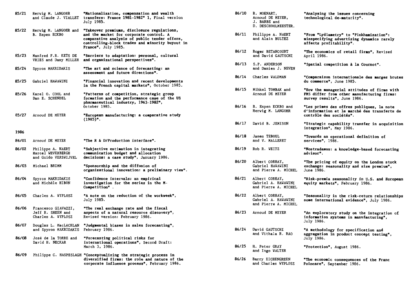| 85/21 | Herwig M. LANGOHR                                              | "Nationalization, compensation and wealth<br>and Claude J. VIALLET transfers: France 1981-1982" 1, Final version<br>July 1985.                                                                                                          | 86/10 | R. MOENART,<br>Arnoud DE MEYER,<br>J. BARBE and<br>D. DESCHOOLMEESTER. | "Analysing the issues concerning<br>technological de-maturity".                                                          |
|-------|----------------------------------------------------------------|-----------------------------------------------------------------------------------------------------------------------------------------------------------------------------------------------------------------------------------------|-------|------------------------------------------------------------------------|--------------------------------------------------------------------------------------------------------------------------|
| 85/22 | B. Espen ECKBO                                                 | Herwig M. LANGOHR and "Takeover premiums, disclosure regulations,<br>and the market for corporate control. A<br>comparative analysis of public tender offers,<br>controlling-block trades and minority buyout in<br>France", July 1985. | 86/11 | Philippe A. NAERT<br>and Alain BULTEZ                                  | "From "Lydiametry" to "Pinkhamization":<br>misspecifying advertising dynamics rarely<br>affects profitability".          |
| 85/23 | Manfred F.R. KETS DE<br>VRIES and Dany MILLER                  | "Barriers to adaptation: personal, cultural<br>and organizational perspectives".                                                                                                                                                        | 86/12 | Roger BETANCOURT<br>and David GAUTSCHI                                 | "The economics of retail firms", Revised<br>April 1986.                                                                  |
| 85/24 | Spyros MAKRIDAKIS                                              | "The art and science of forecasting: an<br>assessment and future directions".                                                                                                                                                           | 86/13 | S.P. ANDERSON<br>and Damien J. NEVEN                                   | "Spatial competition à la Cournot".                                                                                      |
| 85/25 | Gabriel HAWAWINI                                               | "Financial innovation and recent developments<br>in the French capital markets", October 1985.                                                                                                                                          | 86/14 | Charles WALDMAN                                                        | "Comparaison internationale des marges brutes<br>du commerce", June 1985.                                                |
| 85/26 | Karel 0. COOL and<br>Dan E. SCHENDEL                           | "Patterns of competition, strategic group<br>formation and the performance case of the US<br>pharmaceutical industry, 1963-1982",                                                                                                       | 86/15 | Mihkel TOMBAK and<br>Arnoud DE MEYER                                   | "How the managerial attitudes of firms with<br>FMS differ from other manufacturing firms:<br>survey results", June 1986. |
| 85/27 | Arnoud DE MEYER                                                | October 1985.<br>"European manufacturing: a comparative study                                                                                                                                                                           | 86/16 | B. Espen ECKBO and<br>Herwig M. LANGOHR                                | "Les primes des offres publiques, la note<br>d'information et le marché des transferts de<br>contrôle des sociétés".     |
|       |                                                                | $(1985)$ ".                                                                                                                                                                                                                             | 86/17 | David B. JEMISON                                                       | "Strategic capability transfer in acquisition<br>integration", May 1986.                                                 |
| 1986  |                                                                |                                                                                                                                                                                                                                         | 86/18 | James TEBOUL                                                           | "Towards an operational definition of                                                                                    |
| 86/01 | Arnoud DE MEYER                                                | "The R & D/Production interface".                                                                                                                                                                                                       |       | and V. MALLERET                                                        | services", 1986.                                                                                                         |
| 86/02 | Philippe A. NAERT<br>Marcel WEVERBERGH<br>and Guido VERSWIJVEL | "Subjective estimation in integrating<br>communication budget and allocation<br>decisions: a case study", January 1986.                                                                                                                 | 86/19 | Rob R. WEITZ                                                           | "Nostradamus: a knowledge-based forecasting<br>advisor".                                                                 |
| 86/03 | Michael BRIMM                                                  | "Sponsorship and the diffusion of<br>organizational innovation: a preliminary view".                                                                                                                                                    | 86/20 | Albert CORHAY,<br>Gabriel HAWAWINI<br>and Pierre A. MICHEL             | "The pricing of equity on the London stock<br>exchange: seasonality and size premium",<br>June 1986.                     |
| 86/04 | Spyros MAKRIDAKIS<br>and Michèle HIBON                         | "Confidence intervals: an empirical<br>investigation for the series in the M-<br>Competition".                                                                                                                                          | 86/21 | Albert CORHAY.<br>Gabriel A. HAWAWINI<br>and Pierre A. MICHEL          | "Risk-premia seasonality in U.S. and European<br>equity markets", February 1986.                                         |
| 86/05 | Charles A. WYPLOSZ                                             | "A note on the reduction of the workweek",<br>July 1985.                                                                                                                                                                                | 86/22 | Albert CORHAY,<br>Gabriel A. HAWAWINI<br>and Pierre A. MICHEL          | "Seasonality in the risk-return relationships<br>some international evidence", July 1986.                                |
| 86/06 | Francesco GIAVAZZI,<br>Jeff R. SHEEN and<br>Charles A. WYPLOSZ | "The real exchange rate and the fiscal<br>aspects of a natural resource discovery",<br>Revised version: February 1986.                                                                                                                  | 86/23 | Arnoud DE MEYER                                                        | "An exploratory study on the integration of<br>information systems in manufacturing",<br>July 1986.                      |
| 86/07 | Douglas L. MacLACHLAN<br>and Spyros MAKRIDAKIS February 1986.  | "Judgmental biases in sales forecasting",                                                                                                                                                                                               | 86/24 | David GAUTSCHI<br>and Vithala R. RAO                                   | "A methodology for specification and<br>aggregation in product concept testing",                                         |
| 86/08 | José de la TORRE and<br>David H. NECKAR                        | "Forecasting political risks for<br>international operations", Second Draft:<br>March 3, 1986.                                                                                                                                          | 86/25 | H. Peter GRAY                                                          | July 1986.<br>"Protection", August 1986.                                                                                 |
| 86/09 |                                                                | Philippe C. HASPESLAGH "Conceptualizing the strategic process in<br>diversified firms: the role and nature of the<br>corporate influence process", February 1986.                                                                       | 86/26 | and Ingo WALTER<br>Barry EICHENGREEN<br>and Charles WYPLOSZ            | "The economic consequences of the Franc<br>Poincare", September 1986.                                                    |

| 86/10 | R. MOENART,<br>Arnoud DE MEYER,<br>J. BARBE and<br>D. DESCHOOLMEESTER. | "Analysing the issues concerning<br>technological de-maturity".                                                          |
|-------|------------------------------------------------------------------------|--------------------------------------------------------------------------------------------------------------------------|
| 86/11 | Philippe A. NAERT<br>and Alain BULTEZ                                  | "From "Lydiametry" to "Pinkhamization":<br>misspecifying advertising dynamics rarely<br>affects profitability".          |
| 86/12 | Roger BETANCOURT<br>and David GAUTSCHI                                 | "The economics of retail firms", Revised<br>April 1986.                                                                  |
| 86/13 | S.P. ANDERSON<br>and Damien J. NEVEN                                   | "Spatial competition à la Cournot".                                                                                      |
| 86/14 | Charles WALDMAN                                                        | "Comparaison internationale des marges brutes<br>du commerce", June 1985.                                                |
| 86/15 | Mihkel TOMBAK and<br>Arnoud DE MEYER                                   | "How the managerial attitudes of firms with<br>FMS differ from other manufacturing firms:<br>survey results", June 1986. |
| 86/16 | B. Espen ECKBO and<br>Hervig M. LANGOHR                                | "Les primes des offres publiques, la note<br>d'information et le marché des transferts de<br>contrôle des sociétés".     |
| 86/17 | David B. JEMISON                                                       | "Strategic capability transfer in acquisition<br>integration", May 1986.                                                 |
| 86/18 | James TEBOUL<br>and V. MALLERET                                        | "Towards an operational definition of<br>services", 1986.                                                                |
| 86/19 | Rob R. WEITZ                                                           | "Nostradamus: a knowledge-based forecasting<br>advisor".                                                                 |
| 86/20 | Albert CORHAY,<br>Gabriel HAWAWINI<br>and Pierre A. MICHEL             | "The pricing of equity on the London stock<br>exchange: seasonality and size premium",<br>June 1986.                     |
| 86/21 | Albert CORHAY,<br>Gabriel A. HAWAWINI<br>and Pierre A. MICHEL          | "Risk-premia seasonality in U.S. and European<br>equity markets", February 1986.                                         |
| 86/22 | Albert CORHAY,<br>Gabriel A. HAWAWINI<br>and Pierre A. MICHEL          | "Seasonality in the risk-return relationships<br>some international evidence", July 1986.                                |
| 86/23 | Arnoud DE MEYER                                                        | "An exploratory study on the integration of<br>information systems in manufacturing",<br>July 1986.                      |
| 86/24 | David GAUTSCHI<br>and Vithala R. RAO                                   | "A methodology for specification and<br>aggregation in product concept testing",<br>July 1986.                           |
| 86/25 | H. Peter GRAY<br>and Ingo WALTER                                       | "Protection", August 1986.                                                                                               |
| 86/26 | Barry EICHENGREEN<br>and Charles WYPLOSZ                               | "The economic consequences of the Franc<br>Poincare", September 1986.                                                    |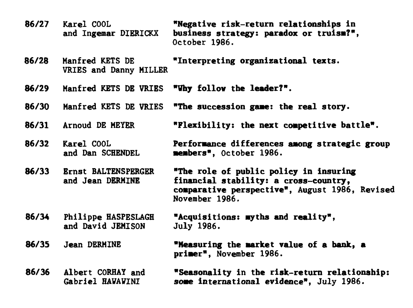**86/27 Karel COOL "Negative risk-return relationships in**  business strategy: paradox or truism?", October 1986. **86/28 Manfred KETS DE "Interpreting organizational tenta. VRIES and Danny MILLER 86/29 Manfred KETS DE VRIES "Vhy follov the leader?". 86/30 Manfred KETS DE VRIES "The succession game: the real story. 86/31 Arnoud DE MEYER "Flexibility: the next competitive battle". 86/32 Karel COOL Performance differences aaong strategic group and Dan SCHENDEL members", October** 1986. **86/33 Ernst BALTENSPERGER "The role of public policy in insuring**  financial stability: a cross-country, **comparative perspective",** August 1986, Revised November 1986. **86/34 Philippe HASPESLAGH and David JEMISON 86/35 Jean DERNINE 86/36 Albert CORHAY and Gabriel HAVAVINI "Acquisitions: myths and reality",**  July 1986. **"Measuring the market value of a bank, a primer",** November 1986. **"Seasonality in the risk-return relationship: some international evidence", July** 1986.